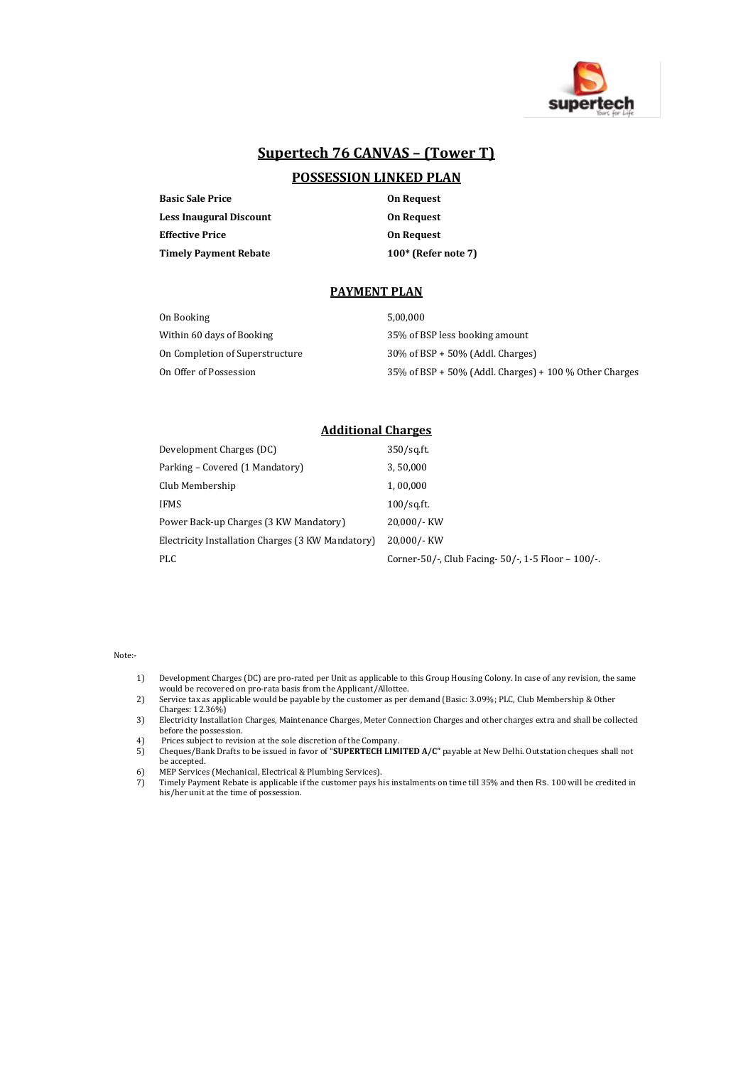

# **Supertech 76 CANVAS – (Tower T)**

# **POSSESSION LINKED PLAN**

| <b>Basic Sale Price</b> | <b>On Request</b>     |  |
|-------------------------|-----------------------|--|
| Less Inaugural Discount | <b>On Request</b>     |  |
| Effective Price         | <b>On Request</b>     |  |
| Timely Payment Rebate   | $100*$ (Refer note 7) |  |

## **PAYMENT PLAN**

| On Booking                      | 5.00.000                                                  |
|---------------------------------|-----------------------------------------------------------|
| Within 60 days of Booking       | 35% of BSP less booking amount                            |
| On Completion of Superstructure | $30\%$ of BSP + 50% (Addl. Charges)                       |
| On Offer of Possession          | $35\%$ of BSP + 50% (Addl. Charges) + 100 % Other Charges |

## **Additional Charges**

| Development Charges (DC)                          | $350$ /sq.ft.                                         |
|---------------------------------------------------|-------------------------------------------------------|
| Parking – Covered (1 Mandatory)                   | 3,50,000                                              |
| Club Membership                                   | 1,00,000                                              |
| <b>IFMS</b>                                       | $100$ /sq.ft.                                         |
| Power Back-up Charges (3 KW Mandatory)            | 20,000/- KW                                           |
| Electricity Installation Charges (3 KW Mandatory) | 20,000/- KW                                           |
| <b>PLC</b>                                        | Corner-50/-, Club Facing- $50/-$ , 1-5 Floor – 100/-. |

### Note:-

- 1) Development Charges (DC) are pro-rated per Unit as applicable to this Group Housing Colony. In case of any revision, the same would be recovered on pro-rata basis from the Applicant/Allottee.
- 2) Service tax as applicable would be payable by the customer as per demand (Basic: 3.09%; PLC, Club Membership & Other Charges: 12.36%)
- 3) Electricity Installation Charges, Maintenance Charges, Meter Connection Charges and other charges extra and shall be collected before the possession.
- 
- 4) Prices subject to revision at the sole discretion of the Company. 5) Cheques/Bank Drafts to be issued in favor of "**SUPERTECH LIMITED A/C"** payable at New Delhi. Outstation cheques shall not be accepted.
- 
- 6) МЕР Services (Mechanical, Electrical & Plumbing Services).<br>7) Timely Payment Rebate is applicable if the customer pays his instalments on time till 35% and then Rs. 100 will be credited in his/her unit at the time of possession.